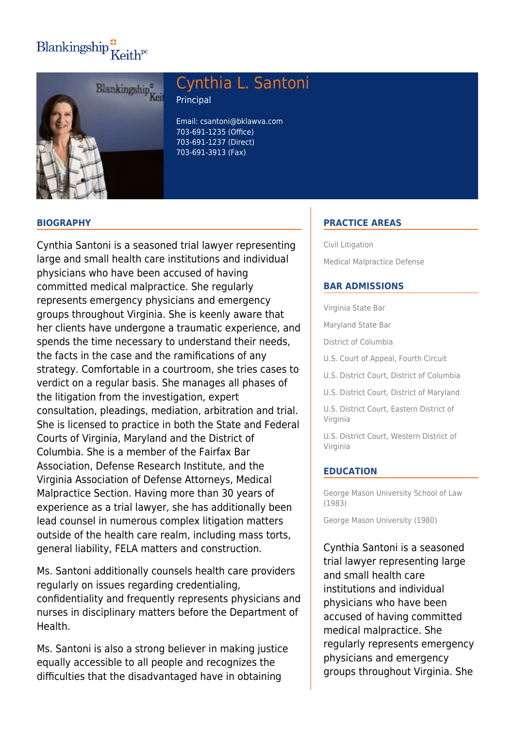# $\text{Blankingship}^{\bullet}_{\mathbf{K}eith^{pc}}$



# Cynthia L. Santoni

Principal

Email: csantoni@bklawva.com 703-691-1235 (Office) 703-691-1237 (Direct) 703-691-3913 (Fax)

## **BIOGRAPHY**

Cynthia Santoni is a seasoned trial lawyer representing large and small health care institutions and individual physicians who have been accused of having committed medical malpractice. She regularly represents emergency physicians and emergency groups throughout Virginia. She is keenly aware that her clients have undergone a traumatic experience, and spends the time necessary to understand their needs, the facts in the case and the ramifications of any strategy. Comfortable in a courtroom, she tries cases to verdict on a regular basis. She manages all phases of the litigation from the investigation, expert consultation, pleadings, mediation, arbitration and trial. She is licensed to practice in both the State and Federal Courts of Virginia, Maryland and the District of Columbia. She is a member of the Fairfax Bar Association, Defense Research Institute, and the Virginia Association of Defense Attorneys, Medical Malpractice Section. Having more than 30 years of experience as a trial lawyer, she has additionally been lead counsel in numerous complex litigation matters outside of the health care realm, including mass torts, general liability, FELA matters and construction.

Ms. Santoni additionally counsels health care providers regularly on issues regarding credentialing, confidentiality and frequently represents physicians and nurses in disciplinary matters before the Department of Health.

Ms. Santoni is also a strong believer in making justice equally accessible to all people and recognizes the difficulties that the disadvantaged have in obtaining

# **PRACTICE AREAS**

Civil Litigation Medical Malpractice Defense

### **BAR ADMISSIONS**

Virginia State Bar

Maryland State Bar

District of Columbia

U.S. Court of Appeal, Fourth Circuit

U.S. District Court, District of Columbia

U.S. District Court, District of Maryland

U.S. District Court, Eastern District of Virginia

U.S. District Court, Western District of Virginia

#### **EDUCATION**

George Mason University School of Law (1983)

George Mason University (1980)

Cynthia Santoni is a seasoned trial lawyer representing large and small health care institutions and individual physicians who have been accused of having committed medical malpractice. She regularly represents emergency physicians and emergency groups throughout Virginia. She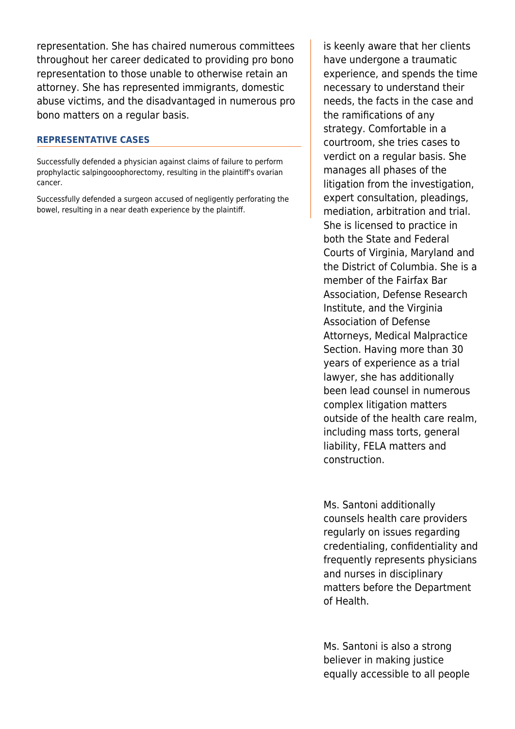representation. She has chaired numerous committees throughout her career dedicated to providing pro bono representation to those unable to otherwise retain an attorney. She has represented immigrants, domestic abuse victims, and the disadvantaged in numerous pro bono matters on a regular basis.

### **REPRESENTATIVE CASES**

Successfully defended a physician against claims of failure to perform prophylactic salpingooophorectomy, resulting in the plaintiff's ovarian cancer.

Successfully defended a surgeon accused of negligently perforating the bowel, resulting in a near death experience by the plaintiff.

is keenly aware that her clients have undergone a traumatic experience, and spends the time necessary to understand their needs, the facts in the case and the ramifications of any strategy. Comfortable in a courtroom, she tries cases to verdict on a regular basis. She manages all phases of the litigation from the investigation, expert consultation, pleadings, mediation, arbitration and trial. She is licensed to practice in both the State and Federal Courts of Virginia, Maryland and the District of Columbia. She is a member of the Fairfax Bar Association, Defense Research Institute, and the Virginia Association of Defense Attorneys, Medical Malpractice Section. Having more than 30 years of experience as a trial lawyer, she has additionally been lead counsel in numerous complex litigation matters outside of the health care realm, including mass torts, general liability, FELA matters and construction.

Ms. Santoni additionally counsels health care providers regularly on issues regarding credentialing, confidentiality and frequently represents physicians and nurses in disciplinary matters before the Department of Health.

Ms. Santoni is also a strong believer in making justice equally accessible to all people